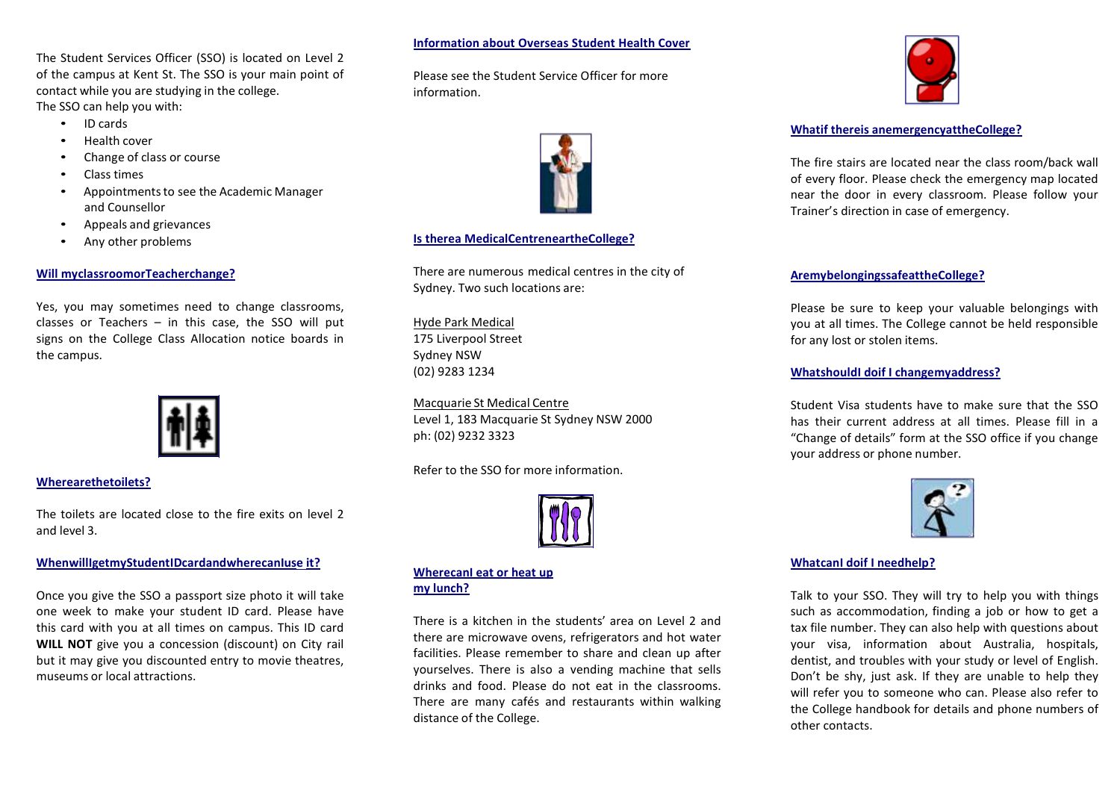The Student Services Officer (SSO) is located on Level 2 of the campus at Kent St. The SSO is your main point of contact while you are studying in the college. The SSO can help you with:

- ID cards
- Health cover
- Change of class or course
- Class times
- Appointmentsto see the Academic Manager and Counsellor
- Appeals and grievances
- Any other problems

## **Will myclassroomorTeacherchange?**

Yes, you may sometimes need to change classrooms, classes or Teachers  $-$  in this case, the SSO will put signs on the College Class Allocation notice boards in the campus.



## **Wherearethetoilets?**

The toilets are located close to the fire exits on level 2 and level 3.

## **WhenwillIgetmyStudentIDcardandwherecanIuse it?**

Once you give the SSO a passport size photo it will take one week to make your student ID card. Please have this card with you at all times on campus. This ID card **WILL NOT** give you a concession (discount) on City rail but it may give you discounted entry to movie theatres, museums or local attractions.

## **Information about Overseas Student Health Cover**

Please see the Student Service Officer for more information.



## **Is therea MedicalCentreneartheCollege?**

There are numerous medical centres in the city of Sydney. Two such locations are:

Hyde Park Medical 175 Liverpool Street Sydney NSW (02) 9283 1234

Macquarie St Medical Centre Level 1, 183 Macquarie St Sydney NSW 2000 ph: (02) 9232 3323

Refer to the SSO for more information.



#### **WherecanI eat or heat up my lunch?**

There is a kitchen in the students' area on Level 2 and there are microwave ovens, refrigerators and hot water facilities. Please remember to share and clean up after yourselves. There is also a vending machine that sells drinks and food. Please do not eat in the classrooms. There are many cafés and restaurants within walking distance of the College.



## **Whatif thereis anemergencyattheCollege?**

The fire stairs are located near the class room/back wall of every floor. Please check the emergency map located near the door in every classroom. Please follow your Trainer's direction in case of emergency.

## **AremybelongingssafeattheCollege?**

Please be sure to keep your valuable belongings with you at all times. The College cannot be held responsible for any lost or stolen items.

#### **WhatshouldI doif I changemyaddress?**

Student Visa students have to make sure that the SSO has their current address at all times. Please fill in a "Change of details" form at the SSO office if you change your address or phone number.



# **WhatcanI doif I needhelp?**

Talk to your SSO. They will try to help you with things such as accommodation, finding a job or how to get a tax file number. They can also help with questions about your visa, information about Australia, hospitals, dentist, and troubles with your study or level of English. Don't be shy, just ask. If they are unable to help they will refer you to someone who can. Please also refer to the College handbook for details and phone numbers of other contacts.